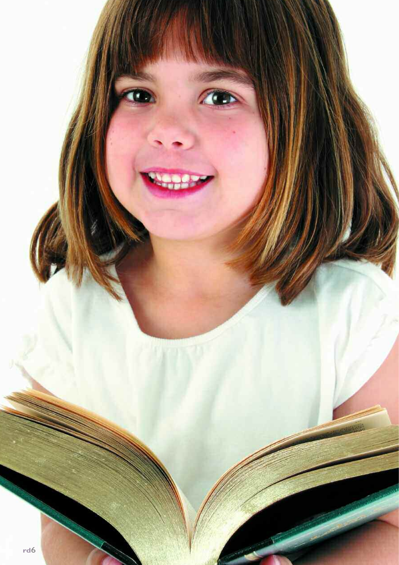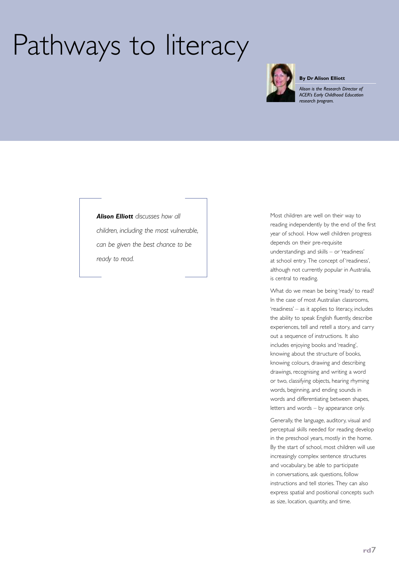# Pathways to literacy



**By Dr Alison Elliott**

*Alison is the Research Director of ACER's Early Childhood Education research program.*

*Alison Elliott discusses how all children, including the most vulnerable, can be given the best chance to be ready to read.*

Most children are well on their way to reading independently by the end of the first year of school. How well children progress depends on their pre-requisite understandings and skills – or 'readiness' at school entry. The concept of 'readiness', although not currently popular in Australia, is central to reading.

What do we mean be being 'ready' to read? In the case of most Australian classrooms, 'readiness' – as it applies to literacy, includes the ability to speak English fluently, describe experiences, tell and retell a story, and carry out a sequence of instructions. It also includes enjoying books and 'reading', knowing about the structure of books, knowing colours, drawing and describing drawings, recognising and writing a word or two, classifying objects, hearing rhyming words, beginning, and ending sounds in words and differentiating between shapes, letters and words – by appearance only.

Generally, the language, auditory, visual and perceptual skills needed for reading develop in the preschool years, mostly in the home. By the start of school, most children will use increasingly complex sentence structures and vocabulary, be able to participate in conversations, ask questions, follow instructions and tell stories. They can also express spatial and positional concepts such as size, location, quantity, and time.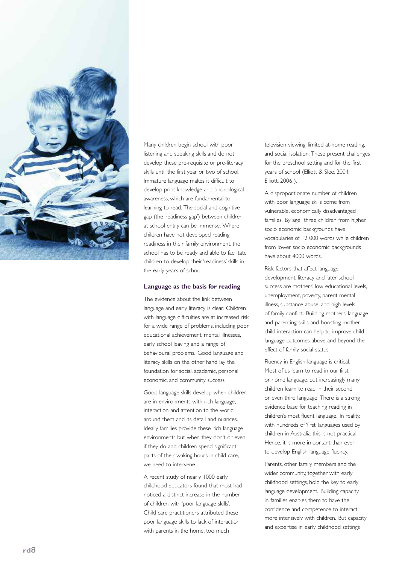

Many children begin school with poor listening and speaking skills and do not develop these pre-requisite or pre-literacy skills until the first year or two of school. Immature language makes it difficult to develop print knowledge and phonological awareness, which are fundamental to learning to read. The social and cognitive gap (the 'readiness gap') between children at school entry can be immense. Where children have not developed reading readiness in their famil y environment, the school has to be ready and able to facilitate children to develop their 'readiness' skills in the ear y year s of school. l

### **Langua g e as the basis for reading**

The evidence about the link between language and early literacy is clear. Children l with language difficulties are at increased risk for a wide range of problems, including poor educational achievement, mental illnesses, early school leaving and a range of behavioural problems. Good language and literacy skills on the other hand lay the foundation for social, academic, personal economic, and community success.

Good language skills develop when children are in environments with rich language, interaction and attention to the world around them and its detail and nuances. Ideally, families provide these rich language environments but when they don't or even if they do and children spend significant parts of their waking hours in child care, we need to intervene.

A recent study of nearly 1000 early childhood educator s found that most had noticed a distinct increase in the number of children with 'poor language skills'. Child care practitioners attributed these poor language skills to lack of interaction with parents in the home , too much

television viewing, limited at-home reading, and social isolation. These present challenges for the preschool setting and for the first years of school (Elliott & Slee, 2004; Elliott, 2006 ).

A disproportionate number of children with poor language skills come from vulnerable, economically disadvantaged families. By age three children from higher socio economic backgrounds have vocabularies of 12 000 words while children from lower socio economic backgrounds have about 4000 words.

Risk factors that affect language development, literacy and later school success are mothers' low educational levels, unemployment, po verty, parent mental illness, substance abuse, and high levels of family conflict. Building mothers' language and parenting skills and boosting motherchild interaction can help to improve child language outcomes above and beyond the effect of famil y social status.

Fluency in English language is critical. Most of us lear n to read in our first or home language, but increasingly many , children lear n to read in their second or even third language. There is a strong evidence base for teaching reading in children's most fluent language. In reality, with hundreds of 'first' languages used by children in Australia this is not practical. Hence, it is more important than ever to develop English language fluency.

Parents, other family members and the wider community, together with early childhood settings, hold the key to early l language development. Building capacity in families enables them to have the confidence and competence to interact more intensivel y with children. But capacity and expertise in early childhood settings